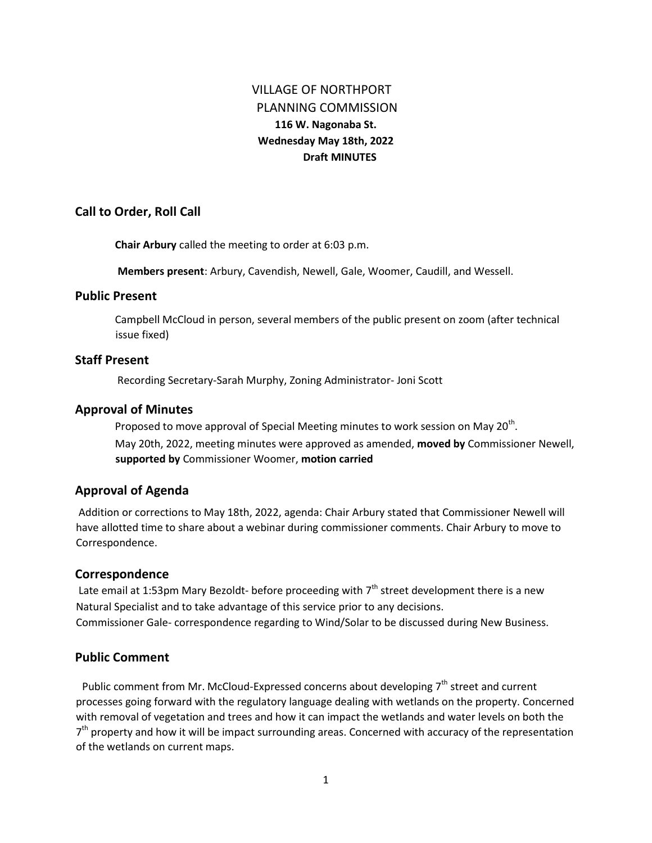# VILLAGE OF NORTHPORT PLANNING COMMISSION **116 W. Nagonaba St. Wednesday May 18th, 2022 Draft MINUTES**

### **Call to Order, Roll Call**

**Chair Arbury** called the meeting to order at 6:03 p.m.

**Members present**: Arbury, Cavendish, Newell, Gale, Woomer, Caudill, and Wessell.

#### **Public Present**

Campbell McCloud in person, several members of the public present on zoom (after technical issue fixed)

#### **Staff Present**

Recording Secretary-Sarah Murphy, Zoning Administrator- Joni Scott

#### **Approval of Minutes**

Proposed to move approval of Special Meeting minutes to work session on May 20<sup>th</sup>. May 20th, 2022, meeting minutes were approved as amended, **moved by** Commissioner Newell, **supported by** Commissioner Woomer, **motion carried** 

### **Approval of Agenda**

Addition or corrections to May 18th, 2022, agenda: Chair Arbury stated that Commissioner Newell will have allotted time to share about a webinar during commissioner comments. Chair Arbury to move to Correspondence.

#### **Correspondence**

Late email at 1:53pm Mary Bezoldt- before proceeding with  $7<sup>th</sup>$  street development there is a new Natural Specialist and to take advantage of this service prior to any decisions. Commissioner Gale- correspondence regarding to Wind/Solar to be discussed during New Business.

# **Public Comment**

Public comment from Mr. McCloud-Expressed concerns about developing  $7<sup>th</sup>$  street and current processes going forward with the regulatory language dealing with wetlands on the property. Concerned with removal of vegetation and trees and how it can impact the wetlands and water levels on both the 7<sup>th</sup> property and how it will be impact surrounding areas. Concerned with accuracy of the representation of the wetlands on current maps.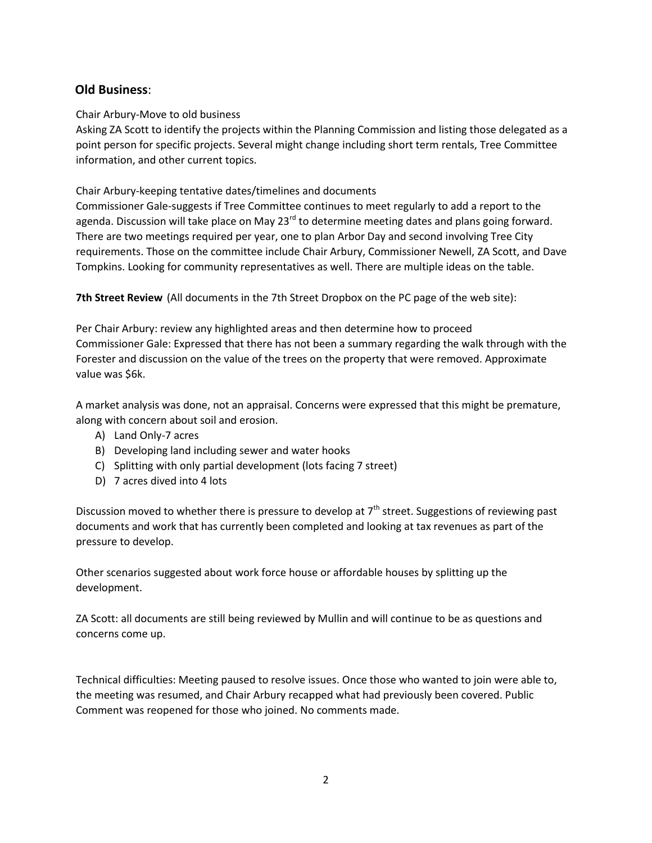# **Old Business**:

### Chair Arbury-Move to old business

Asking ZA Scott to identify the projects within the Planning Commission and listing those delegated as a point person for specific projects. Several might change including short term rentals, Tree Committee information, and other current topics.

### Chair Arbury-keeping tentative dates/timelines and documents

Commissioner Gale-suggests if Tree Committee continues to meet regularly to add a report to the agenda. Discussion will take place on May 23<sup>rd</sup> to determine meeting dates and plans going forward. There are two meetings required per year, one to plan Arbor Day and second involving Tree City requirements. Those on the committee include Chair Arbury, Commissioner Newell, ZA Scott, and Dave Tompkins. Looking for community representatives as well. There are multiple ideas on the table.

**7th Street Review** (All documents in the 7th Street Dropbox on the PC page of the web site):

Per Chair Arbury: review any highlighted areas and then determine how to proceed Commissioner Gale: Expressed that there has not been a summary regarding the walk through with the Forester and discussion on the value of the trees on the property that were removed. Approximate value was \$6k.

A market analysis was done, not an appraisal. Concerns were expressed that this might be premature, along with concern about soil and erosion.

- A) Land Only-7 acres
- B) Developing land including sewer and water hooks
- C) Splitting with only partial development (lots facing 7 street)
- D) 7 acres dived into 4 lots

Discussion moved to whether there is pressure to develop at  $7<sup>th</sup>$  street. Suggestions of reviewing past documents and work that has currently been completed and looking at tax revenues as part of the pressure to develop.

Other scenarios suggested about work force house or affordable houses by splitting up the development.

ZA Scott: all documents are still being reviewed by Mullin and will continue to be as questions and concerns come up.

Technical difficulties: Meeting paused to resolve issues. Once those who wanted to join were able to, the meeting was resumed, and Chair Arbury recapped what had previously been covered. Public Comment was reopened for those who joined. No comments made.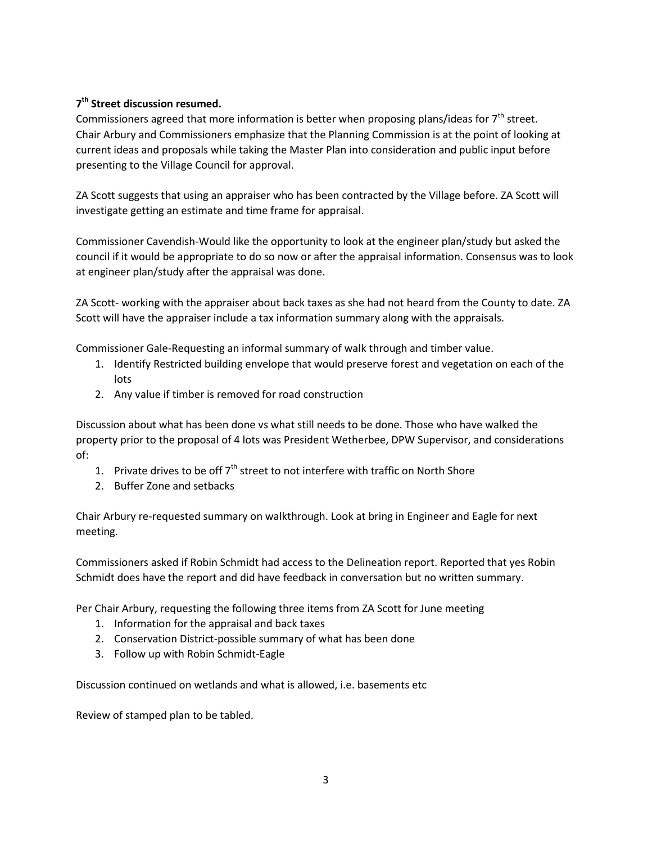# **7 th Street discussion resumed.**

Commissioners agreed that more information is better when proposing plans/ideas for  $7<sup>th</sup>$  street. Chair Arbury and Commissioners emphasize that the Planning Commission is at the point of looking at current ideas and proposals while taking the Master Plan into consideration and public input before presenting to the Village Council for approval.

ZA Scott suggests that using an appraiser who has been contracted by the Village before. ZA Scott will investigate getting an estimate and time frame for appraisal.

Commissioner Cavendish-Would like the opportunity to look at the engineer plan/study but asked the council if it would be appropriate to do so now or after the appraisal information. Consensus was to look at engineer plan/study after the appraisal was done.

ZA Scott- working with the appraiser about back taxes as she had not heard from the County to date. ZA Scott will have the appraiser include a tax information summary along with the appraisals.

Commissioner Gale-Requesting an informal summary of walk through and timber value.

- 1. Identify Restricted building envelope that would preserve forest and vegetation on each of the lots
- 2. Any value if timber is removed for road construction

Discussion about what has been done vs what still needs to be done. Those who have walked the property prior to the proposal of 4 lots was President Wetherbee, DPW Supervisor, and considerations of:

- 1. Private drives to be off  $7<sup>th</sup>$  street to not interfere with traffic on North Shore
- 2. Buffer Zone and setbacks

Chair Arbury re-requested summary on walkthrough. Look at bring in Engineer and Eagle for next meeting.

Commissioners asked if Robin Schmidt had access to the Delineation report. Reported that yes Robin Schmidt does have the report and did have feedback in conversation but no written summary.

Per Chair Arbury, requesting the following three items from ZA Scott for June meeting

- 1. Information for the appraisal and back taxes
- 2. Conservation District-possible summary of what has been done
- 3. Follow up with Robin Schmidt-Eagle

Discussion continued on wetlands and what is allowed, i.e. basements etc

Review of stamped plan to be tabled.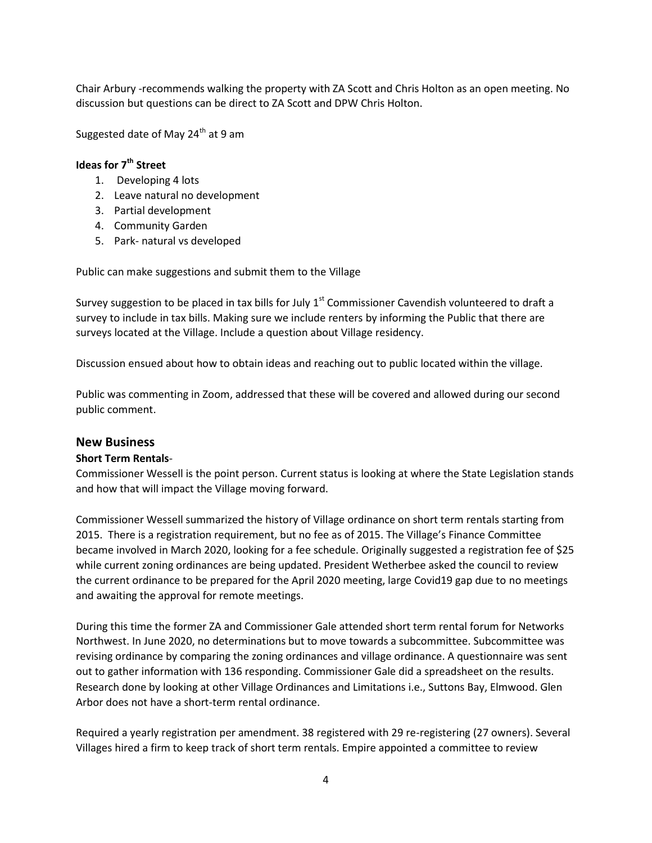Chair Arbury -recommends walking the property with ZA Scott and Chris Holton as an open meeting. No discussion but questions can be direct to ZA Scott and DPW Chris Holton.

Suggested date of May  $24<sup>th</sup>$  at 9 am

### **Ideas for 7th Street**

- 1. Developing 4 lots
- 2. Leave natural no development
- 3. Partial development
- 4. Community Garden
- 5. Park- natural vs developed

Public can make suggestions and submit them to the Village

Survey suggestion to be placed in tax bills for July  $1<sup>st</sup>$  Commissioner Cavendish volunteered to draft a survey to include in tax bills. Making sure we include renters by informing the Public that there are surveys located at the Village. Include a question about Village residency.

Discussion ensued about how to obtain ideas and reaching out to public located within the village.

Public was commenting in Zoom, addressed that these will be covered and allowed during our second public comment.

#### **New Business**

#### **Short Term Rentals**-

Commissioner Wessell is the point person. Current status is looking at where the State Legislation stands and how that will impact the Village moving forward.

Commissioner Wessell summarized the history of Village ordinance on short term rentals starting from 2015. There is a registration requirement, but no fee as of 2015. The Village's Finance Committee became involved in March 2020, looking for a fee schedule. Originally suggested a registration fee of \$25 while current zoning ordinances are being updated. President Wetherbee asked the council to review the current ordinance to be prepared for the April 2020 meeting, large Covid19 gap due to no meetings and awaiting the approval for remote meetings.

During this time the former ZA and Commissioner Gale attended short term rental forum for Networks Northwest. In June 2020, no determinations but to move towards a subcommittee. Subcommittee was revising ordinance by comparing the zoning ordinances and village ordinance. A questionnaire was sent out to gather information with 136 responding. Commissioner Gale did a spreadsheet on the results. Research done by looking at other Village Ordinances and Limitations i.e., Suttons Bay, Elmwood. Glen Arbor does not have a short-term rental ordinance.

Required a yearly registration per amendment. 38 registered with 29 re-registering (27 owners). Several Villages hired a firm to keep track of short term rentals. Empire appointed a committee to review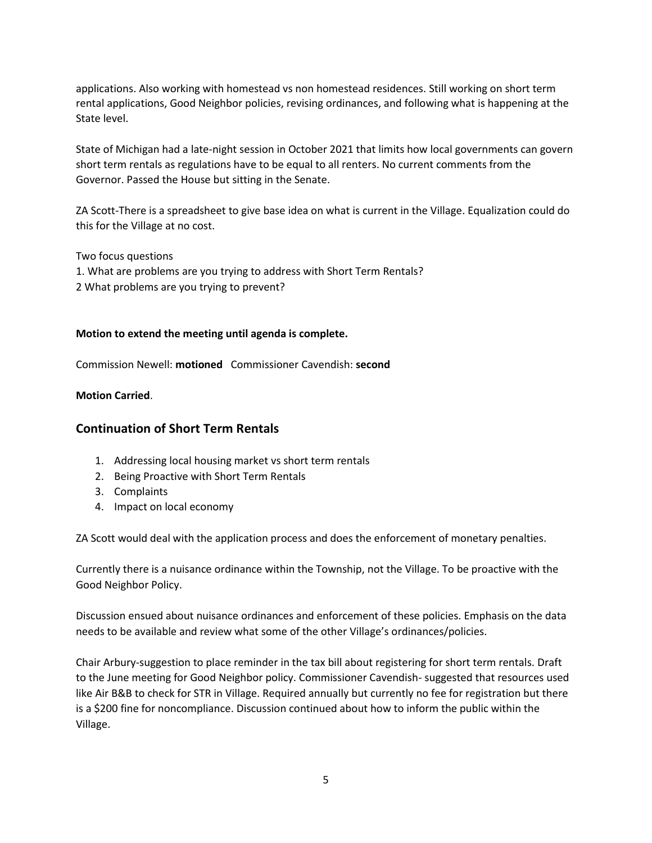applications. Also working with homestead vs non homestead residences. Still working on short term rental applications, Good Neighbor policies, revising ordinances, and following what is happening at the State level.

State of Michigan had a late-night session in October 2021 that limits how local governments can govern short term rentals as regulations have to be equal to all renters. No current comments from the Governor. Passed the House but sitting in the Senate.

ZA Scott-There is a spreadsheet to give base idea on what is current in the Village. Equalization could do this for the Village at no cost.

Two focus questions

1. What are problems are you trying to address with Short Term Rentals? 2 What problems are you trying to prevent?

#### **Motion to extend the meeting until agenda is complete.**

Commission Newell: **motioned** Commissioner Cavendish: **second**

#### **Motion Carried**.

#### **Continuation of Short Term Rentals**

- 1. Addressing local housing market vs short term rentals
- 2. Being Proactive with Short Term Rentals
- 3. Complaints
- 4. Impact on local economy

ZA Scott would deal with the application process and does the enforcement of monetary penalties.

Currently there is a nuisance ordinance within the Township, not the Village. To be proactive with the Good Neighbor Policy.

Discussion ensued about nuisance ordinances and enforcement of these policies. Emphasis on the data needs to be available and review what some of the other Village's ordinances/policies.

Chair Arbury-suggestion to place reminder in the tax bill about registering for short term rentals. Draft to the June meeting for Good Neighbor policy. Commissioner Cavendish- suggested that resources used like Air B&B to check for STR in Village. Required annually but currently no fee for registration but there is a \$200 fine for noncompliance. Discussion continued about how to inform the public within the Village.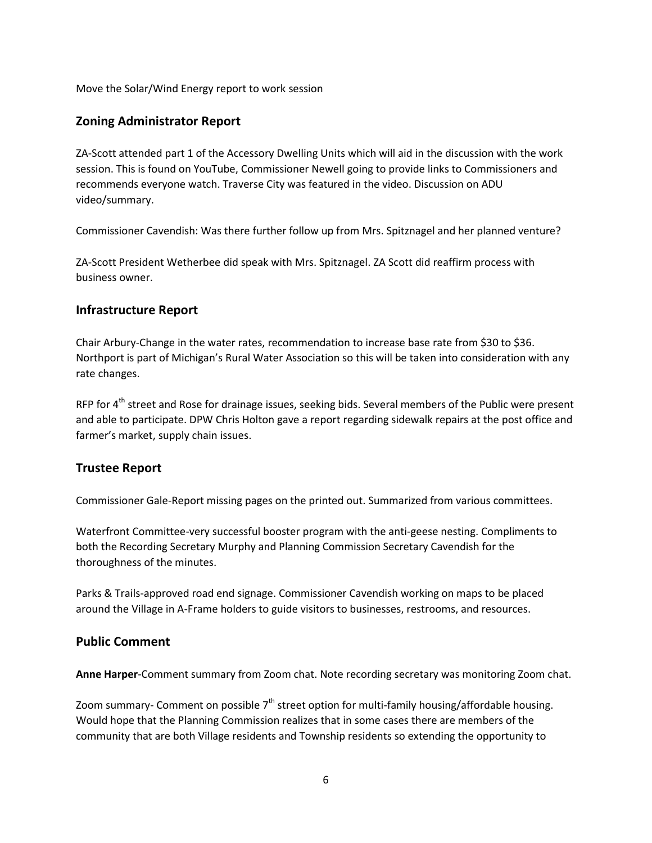Move the Solar/Wind Energy report to work session

# **Zoning Administrator Report**

ZA-Scott attended part 1 of the Accessory Dwelling Units which will aid in the discussion with the work session. This is found on YouTube, Commissioner Newell going to provide links to Commissioners and recommends everyone watch. Traverse City was featured in the video. Discussion on ADU video/summary.

Commissioner Cavendish: Was there further follow up from Mrs. Spitznagel and her planned venture?

ZA-Scott President Wetherbee did speak with Mrs. Spitznagel. ZA Scott did reaffirm process with business owner.

# **Infrastructure Report**

Chair Arbury-Change in the water rates, recommendation to increase base rate from \$30 to \$36. Northport is part of Michigan's Rural Water Association so this will be taken into consideration with any rate changes.

RFP for 4<sup>th</sup> street and Rose for drainage issues, seeking bids. Several members of the Public were present and able to participate. DPW Chris Holton gave a report regarding sidewalk repairs at the post office and farmer's market, supply chain issues.

### **Trustee Report**

Commissioner Gale-Report missing pages on the printed out. Summarized from various committees.

Waterfront Committee-very successful booster program with the anti-geese nesting. Compliments to both the Recording Secretary Murphy and Planning Commission Secretary Cavendish for the thoroughness of the minutes.

Parks & Trails-approved road end signage. Commissioner Cavendish working on maps to be placed around the Village in A-Frame holders to guide visitors to businesses, restrooms, and resources.

### **Public Comment**

**Anne Harper**-Comment summary from Zoom chat. Note recording secretary was monitoring Zoom chat.

Zoom summary- Comment on possible  $7<sup>th</sup>$  street option for multi-family housing/affordable housing. Would hope that the Planning Commission realizes that in some cases there are members of the community that are both Village residents and Township residents so extending the opportunity to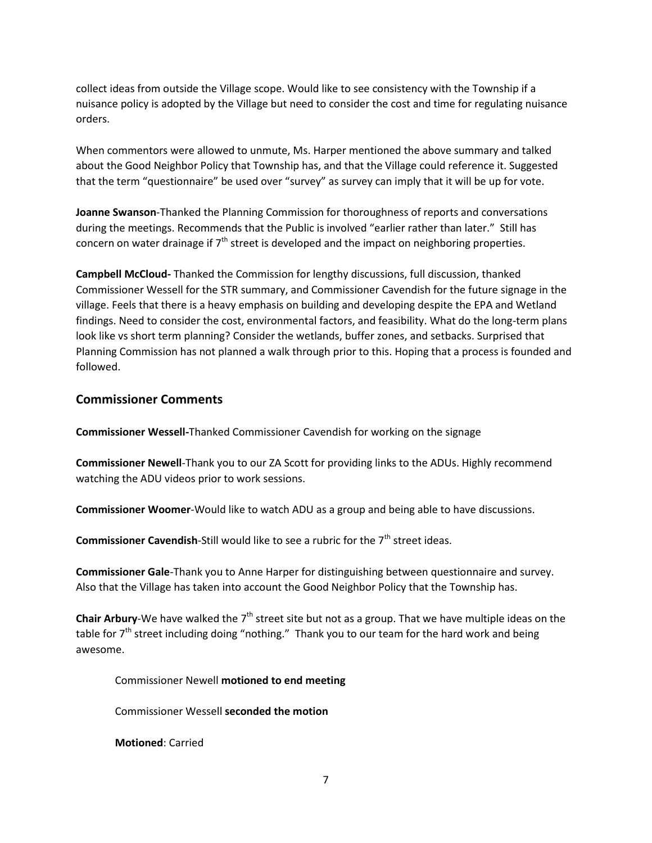collect ideas from outside the Village scope. Would like to see consistency with the Township if a nuisance policy is adopted by the Village but need to consider the cost and time for regulating nuisance orders.

When commentors were allowed to unmute, Ms. Harper mentioned the above summary and talked about the Good Neighbor Policy that Township has, and that the Village could reference it. Suggested that the term "questionnaire" be used over "survey" as survey can imply that it will be up for vote.

**Joanne Swanson**-Thanked the Planning Commission for thoroughness of reports and conversations during the meetings. Recommends that the Public is involved "earlier rather than later." Still has concern on water drainage if  $7<sup>th</sup>$  street is developed and the impact on neighboring properties.

**Campbell McCloud-** Thanked the Commission for lengthy discussions, full discussion, thanked Commissioner Wessell for the STR summary, and Commissioner Cavendish for the future signage in the village. Feels that there is a heavy emphasis on building and developing despite the EPA and Wetland findings. Need to consider the cost, environmental factors, and feasibility. What do the long-term plans look like vs short term planning? Consider the wetlands, buffer zones, and setbacks. Surprised that Planning Commission has not planned a walk through prior to this. Hoping that a process is founded and followed.

#### **Commissioner Comments**

**Commissioner Wessell-**Thanked Commissioner Cavendish for working on the signage

**Commissioner Newell**-Thank you to our ZA Scott for providing links to the ADUs. Highly recommend watching the ADU videos prior to work sessions.

**Commissioner Woomer**-Would like to watch ADU as a group and being able to have discussions.

**Commissioner Cavendish-Still would like to see a rubric for the 7<sup>th</sup> street ideas.** 

**Commissioner Gale**-Thank you to Anne Harper for distinguishing between questionnaire and survey. Also that the Village has taken into account the Good Neighbor Policy that the Township has.

Chair Arbury-We have walked the 7<sup>th</sup> street site but not as a group. That we have multiple ideas on the table for  $7<sup>th</sup>$  street including doing "nothing." Thank you to our team for the hard work and being awesome.

Commissioner Newell **motioned to end meeting**

Commissioner Wessell **seconded the motion**

**Motioned**: Carried